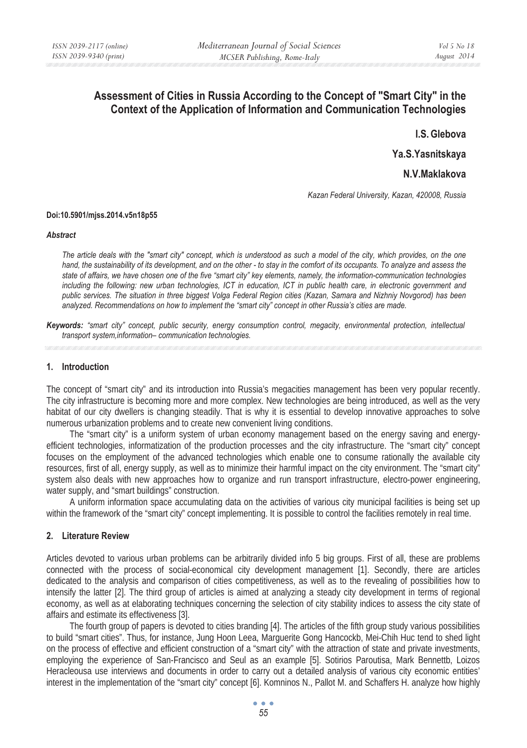# **Assessment of Cities in Russia According to the Concept of "Smart City" in the Context of the Application of Information and Communication Technologies**

**I.S.Glebova** 

**Ya.S.Yasnitskaya** 

**N.V.Maklakova**

*Kazan Federal University, Kazan, 420008, Russia* 

#### **Doi:10.5901/mjss.2014.v5n18p55**

#### *Abstract*

*The article deals with the "smart city" concept, which is understood as such a model of the city, which provides, on the one hand, the sustainability of its development, and on the other - to stay in the comfort of its occupants. To analyze and assess the state of affairs, we have chosen one of the five "smart city" key elements, namely, the information-communication technologies including the following: new urban technologies, ICT in education, ICT in public health care, in electronic government and public services. The situation in three biggest Volga Federal Region cities (Kazan, Samara and Nizhniy Novgorod) has been analyzed. Recommendations on how to implement the "smart city" concept in other Russia's cities are made.* 

*Keywords: "smart city" concept, public security, energy consumption control, megacity, environmental protection, intellectual transport system,information– communication technologies.* 

#### **1. Introduction**

The concept of "smart city" and its introduction into Russia's megacities management has been very popular recently. The city infrastructure is becoming more and more complex. New technologies are being introduced, as well as the very habitat of our city dwellers is changing steadily. That is why it is essential to develop innovative approaches to solve numerous urbanization problems and to create new convenient living conditions.

The "smart city" is a uniform system of urban economy management based on the energy saving and energyefficient technologies, informatization of the production processes and the city infrastructure. The "smart city" concept focuses on the employment of the advanced technologies which enable one to consume rationally the available city resources, first of all, energy supply, as well as to minimize their harmful impact on the city environment. The "smart city" system also deals with new approaches how to organize and run transport infrastructure, electro-power engineering, water supply, and "smart buildings" construction.

A uniform information space accumulating data on the activities of various city municipal facilities is being set up within the framework of the "smart city" concept implementing. It is possible to control the facilities remotely in real time.

### **2. Literature Review**

Articles devoted to various urban problems can be arbitrarily divided info 5 big groups. First of all, these are problems connected with the process of social-economical city development management [1]. Secondly, there are articles dedicated to the analysis and comparison of cities competitiveness, as well as to the revealing of possibilities how to intensify the latter [2]. The third group of articles is aimed at analyzing a steady city development in terms of regional economy, as well as at elaborating techniques concerning the selection of city stability indices to assess the city state of affairs and estimate its effectiveness [3].

The fourth group of papers is devoted to cities branding [4]. The articles of the fifth group study various possibilities to build "smart cities". Thus, for instance, Jung Hoon Leea, Marguerite Gong Hancockb, Mei-Chih Huc tend to shed light on the process of effective and efficient construction of a "smart city" with the attraction of state and private investments, employing the experience of San-Francisco and Seul as an example [5]. Sotirios Paroutisa, Mark Bennettb, Loizos Heracleousa use interviews and documents in order to carry out a detailed analysis of various city economic entities' interest in the implementation of the "smart city" concept [6]. Komninos N., Pallot M. and Schaffers H. analyze how highly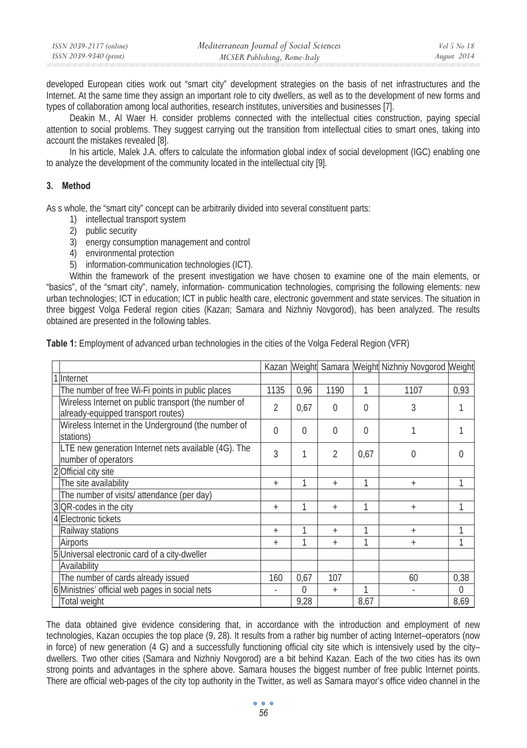| ISSN 2039-2117 (online) | Mediterranean Journal of Social Sciences | Vol 5 No 18 |
|-------------------------|------------------------------------------|-------------|
| ISSN 2039-9340 (print)  | MCSER Publishing, Rome-Italy             | August 2014 |

developed European cities work out "smart city" development strategies on the basis of net infrastructures and the Internet. At the same time they assign an important role to city dwellers, as well as to the development of new forms and types of collaboration among local authorities, research institutes, universities and businesses [7].

Deakin M., Al Waer H. consider problems connected with the intellectual cities construction, paying special attention to social problems. They suggest carrying out the transition from intellectual cities to smart ones, taking into account the mistakes revealed [8].

In his article, Malek J.A. offers to calculate the information global index of social development (IGC) enabling one to analyze the development of the community located in the intellectual city [9].

## **3. Method**

As s whole, the "smart city" concept can be arbitrarily divided into several constituent parts:

- 1) intellectual transport system
- 2) public security
- 3) energy consumption management and control
- 4) environmental protection
- 5) information-communication technologies (ICT).

Within the framework of the present investigation we have chosen to examine one of the main elements, or "basics", of the "smart city", namely, information- communication technologies, comprising the following elements: new urban technologies; ICT in education; ICT in public health care, electronic government and state services. The situation in three biggest Volga Federal region cities (Kazan; Samara and Nizhniy Novgorod), has been analyzed. The results obtained are presented in the following tables.

|                                                                                            |                          |          |                |          | Kazan Weight Samara Weight Nizhniy Novgorod Weight |          |
|--------------------------------------------------------------------------------------------|--------------------------|----------|----------------|----------|----------------------------------------------------|----------|
| Internet                                                                                   |                          |          |                |          |                                                    |          |
| The number of free Wi-Fi points in public places                                           | 1135                     | 0,96     | 1190           | 1        | 1107                                               | 0,93     |
| Wireless Internet on public transport (the number of<br>already-equipped transport routes) | $\overline{2}$           | 0.67     | $\theta$       | $\Omega$ | 3                                                  |          |
| Wireless Internet in the Underground (the number of<br>stations)                           | $\Omega$                 | $\Omega$ | $\Omega$       | $\Omega$ |                                                    |          |
| LTE new generation Internet nets available (4G). The<br>number of operators                | 3                        | 1        | $\overline{2}$ | 0.67     | 0                                                  | $\Omega$ |
| 2 Official city site                                                                       |                          |          |                |          |                                                    |          |
| The site availability                                                                      | $+$                      | 1        | $^{+}$         | 1        | $+$                                                | 1        |
| The number of visits/ attendance (per day)                                                 |                          |          |                |          |                                                    |          |
| 3 QR-codes in the city                                                                     | $+$                      | 1        | $^{+}$         | 1        | $+$                                                |          |
| 4 Electronic tickets                                                                       |                          |          |                |          |                                                    |          |
| Railway stations                                                                           | $+$                      |          | $^{+}$         |          | $+$                                                |          |
| Airports                                                                                   | $+$                      |          | $\ddot{}$      | 1        | $+$                                                |          |
| 5 Universal electronic card of a city-dweller                                              |                          |          |                |          |                                                    |          |
| Availability                                                                               |                          |          |                |          |                                                    |          |
| The number of cards already issued                                                         | 160                      | 0,67     | 107            |          | 60                                                 | 0,38     |
| 6 Ministries' official web pages in social nets                                            | $\overline{\phantom{a}}$ | 0        | $^{+}$         | 1        |                                                    | 0        |
| Total weight                                                                               |                          | 9,28     |                | 8,67     |                                                    | 8,69     |

**Table 1:** Employment of advanced urban technologies in the cities of the Volga Federal Region (VFR)

The data obtained give evidence considering that, in accordance with the introduction and employment of new technologies, Kazan occupies the top place (9, 28). It results from a rather big number of acting Internet–operators (now in force) of new generation (4 G) and a successfully functioning official city site which is intensively used by the city– dwellers. Two other cities (Samara and Nizhniy Novgorod) are a bit behind Kazan. Each of the two cities has its own strong points and advantages in the sphere above. Samara houses the biggest number of free public Internet points. There are official web-pages of the city top authority in the Twitter, as well as Samara mayor's office video channel in the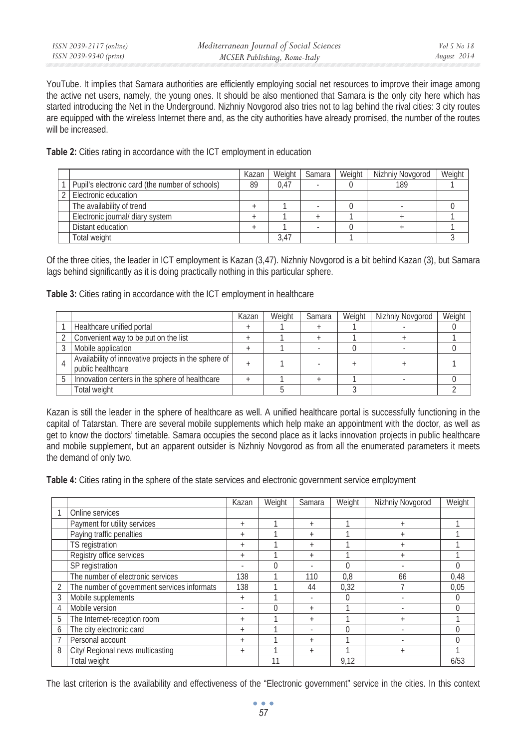| ISSN 2039-2117 (online) | Mediterranean Journal of Social Sciences | Vol 5 No 18 |
|-------------------------|------------------------------------------|-------------|
| ISSN 2039-9340 (print)  | MCSER Publishing, Rome-Italy             | August 2014 |

YouTube. It implies that Samara authorities are efficiently employing social net resources to improve their image among the active net users, namely, the young ones. It should be also mentioned that Samara is the only city here which has started introducing the Net in the Underground. Nizhniy Novgorod also tries not to lag behind the rival cities: 3 city routes are equipped with the wireless Internet there and, as the city authorities have already promised, the number of the routes will be increased.

**Table 2:** Cities rating in accordance with the ICT employment in education

|                                                 | Kazan | Weight | Samara | Weiaht | Nizhniy Novgorod | Weight |
|-------------------------------------------------|-------|--------|--------|--------|------------------|--------|
| Pupil's electronic card (the number of schools) | 89    | 0.47   |        |        | 189              |        |
| Electronic education                            |       |        |        |        |                  |        |
| The availability of trend                       |       |        |        |        |                  |        |
| Electronic journal/ diary system                |       |        |        |        |                  |        |
| Distant education                               |       |        |        |        |                  |        |
| Total weight                                    |       | 3.47   |        |        |                  |        |

Of the three cities, the leader in ICT employment is Kazan (3,47). Nizhniy Novgorod is a bit behind Kazan (3), but Samara lags behind significantly as it is doing practically nothing in this particular sphere.

|  |  |  | Table 3: Cities rating in accordance with the ICT employment in healthcare |  |  |  |  |
|--|--|--|----------------------------------------------------------------------------|--|--|--|--|
|--|--|--|----------------------------------------------------------------------------|--|--|--|--|

|                                                                           | Kazan | Weight | Samara | Weight | Nizhniy Novgorod | Weight |
|---------------------------------------------------------------------------|-------|--------|--------|--------|------------------|--------|
| Healthcare unified portal                                                 |       |        |        |        |                  |        |
| Convenient way to be put on the list                                      |       |        |        |        |                  |        |
| Mobile application                                                        |       |        |        |        |                  |        |
| Availability of innovative projects in the sphere of<br>public healthcare |       |        |        |        |                  |        |
| Innovation centers in the sphere of healthcare                            |       |        |        |        |                  |        |
| Total weight                                                              |       |        |        |        |                  |        |

Kazan is still the leader in the sphere of healthcare as well. A unified healthcare portal is successfully functioning in the capital of Tatarstan. There are several mobile supplements which help make an appointment with the doctor, as well as get to know the doctors' timetable. Samara occupies the second place as it lacks innovation projects in public healthcare and mobile supplement, but an apparent outsider is Nizhniy Novgorod as from all the enumerated parameters it meets the demand of only two.

**Table 4:** Cities rating in the sphere of the state services and electronic government service employment

|   |                                             | Kazan  | Weight   | Samara | Weight   | Nizhniy Novgorod | Weight   |
|---|---------------------------------------------|--------|----------|--------|----------|------------------|----------|
|   | Online services                             |        |          |        |          |                  |          |
|   | Payment for utility services                | $^{+}$ |          | $^{+}$ |          | $^{+}$           |          |
|   | Paying traffic penalties                    | $^{+}$ |          | $^{+}$ |          | $^{+}$           |          |
|   | TS registration                             | $^{+}$ |          | $^{+}$ |          |                  |          |
|   | Registry office services                    | $^{+}$ |          | $^{+}$ |          | $^{+}$           |          |
|   | SP registration                             |        | U        |        | $\Omega$ |                  | $\Omega$ |
|   | The number of electronic services           | 138    |          | 110    | 0.8      | 66               | 0,48     |
| 2 | The number of government services informats | 138    |          | 44     | 0.32     |                  | 0,05     |
| 3 | Mobile supplements                          | $^{+}$ |          |        | $\Omega$ |                  | $\Omega$ |
| 4 | Mobile version                              |        | $\Omega$ | $^{+}$ |          |                  | $\Omega$ |
| 5 | The Internet-reception room                 | $^{+}$ |          | $^{+}$ |          | $^{+}$           |          |
| 6 | The city electronic card                    | $^{+}$ |          |        | $\Omega$ |                  | U        |
|   | Personal account                            | $+$    |          | $+$    |          |                  | U        |
| 8 | City/ Regional news multicasting            | $^{+}$ |          | $^{+}$ |          | $^{+}$           |          |
|   | <b>Total weight</b>                         |        | 11       |        | 9.12     |                  | 6/53     |

The last criterion is the availability and effectiveness of the "Electronic government" service in the cities. In this context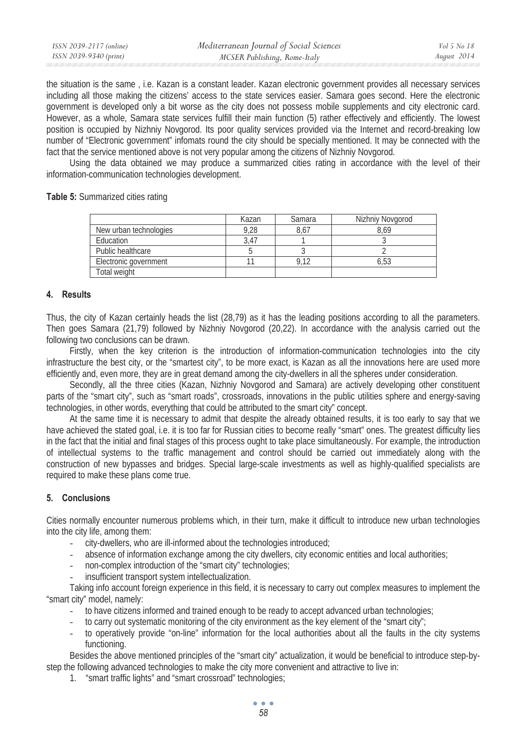| ISSN 2039-2117 (online) | Mediterranean Journal of Social Sciences | Vol 5 No 18 |
|-------------------------|------------------------------------------|-------------|
| ISSN 2039-9340 (print)  | MCSER Publishing, Rome-Italy             | August 2014 |

the situation is the same , i.e. Kazan is a constant leader. Kazan electronic government provides all necessary services including all those making the citizens' access to the state services easier. Samara goes second. Here the electronic government is developed only a bit worse as the city does not possess mobile supplements and city electronic card. However, as a whole, Samara state services fulfill their main function (5) rather effectively and efficiently. The lowest position is occupied by Nizhniy Novgorod. Its poor quality services provided via the Internet and record-breaking low number of "Electronic government" infomats round the city should be specially mentioned. It may be connected with the fact that the service mentioned above is not very popular among the citizens of Nizhniy Novgorod.

Using the data obtained we may produce a summarized cities rating in accordance with the level of their information-communication technologies development.

**Table 5:** Summarized cities rating

|                        | Kazan | Samara | Nizhniy Novgorod |
|------------------------|-------|--------|------------------|
| New urban technologies | 9.28  | 8.67   | 8.69             |
| Education              | 3.47  |        |                  |
| Public healthcare      |       |        |                  |
| Electronic government  |       | 1.12   |                  |
| Total weight           |       |        |                  |

## **4. Results**

Thus, the city of Kazan certainly heads the list (28,79) as it has the leading positions according to all the parameters. Then goes Samara (21,79) followed by Nizhniy Novgorod (20,22). In accordance with the analysis carried out the following two conclusions can be drawn.

Firstly, when the key criterion is the introduction of information-communication technologies into the city infrastructure the best city, or the "smartest city", to be more exact, is Kazan as all the innovations here are used more efficiently and, even more, they are in great demand among the city-dwellers in all the spheres under consideration.

Secondly, all the three cities (Kazan, Nizhniy Novgorod and Samara) are actively developing other constituent parts of the "smart city", such as "smart roads", crossroads, innovations in the public utilities sphere and energy-saving technologies, in other words, everything that could be attributed to the smart city" concept.

At the same time it is necessary to admit that despite the already obtained results, it is too early to say that we have achieved the stated goal, i.e. it is too far for Russian cities to become really "smart" ones. The greatest difficulty lies in the fact that the initial and final stages of this process ought to take place simultaneously. For example, the introduction of intellectual systems to the traffic management and control should be carried out immediately along with the construction of new bypasses and bridges. Special large-scale investments as well as highly-qualified specialists are required to make these plans come true.

# **5. Conclusions**

Cities normally encounter numerous problems which, in their turn, make it difficult to introduce new urban technologies into the city life, among them:

- city-dwellers, who are ill-informed about the technologies introduced;
- absence of information exchange among the city dwellers, city economic entities and local authorities;
- non-complex introduction of the "smart city" technologies;
- insufficient transport system intellectualization.

Taking info account foreign experience in this field, it is necessary to carry out complex measures to implement the "smart city" model, namely:

- to have citizens informed and trained enough to be ready to accept advanced urban technologies;
- to carry out systematic monitoring of the city environment as the key element of the "smart city";
- to operatively provide "on-line" information for the local authorities about all the faults in the city systems functioning.

Besides the above mentioned principles of the "smart city" actualization, it would be beneficial to introduce step-bystep the following advanced technologies to make the city more convenient and attractive to live in:

1. "smart traffic lights" and "smart crossroad" technologies;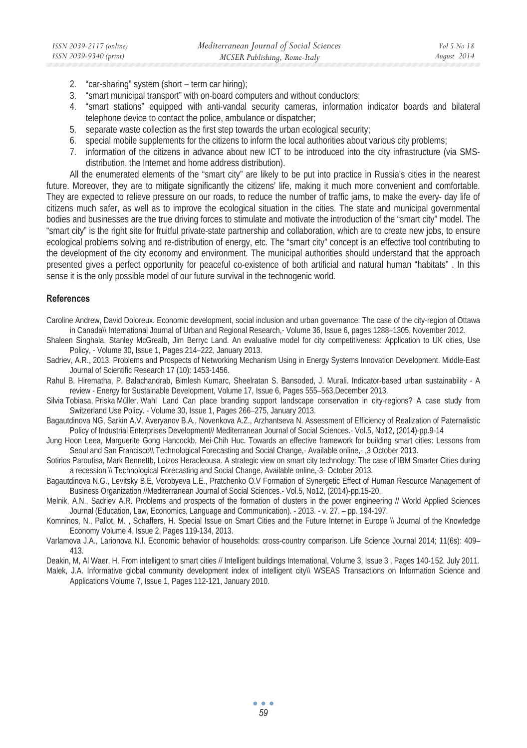- 2. "car-sharing" system (short term car hiring);
- 3. "smart municipal transport" with on-board computers and without conductors;
- 4. "smart stations" equipped with anti-vandal security cameras, information indicator boards and bilateral telephone device to contact the police, ambulance or dispatcher;
- 5. separate waste collection as the first step towards the urban ecological security;
- 6. special mobile supplements for the citizens to inform the local authorities about various city problems;
- 7. information of the citizens in advance about new ICT to be introduced into the city infrastructure (via SMSdistribution, the Internet and home address distribution).

All the enumerated elements of the "smart city" are likely to be put into practice in Russia's cities in the nearest future. Moreover, they are to mitigate significantly the citizens' life, making it much more convenient and comfortable. They are expected to relieve pressure on our roads, to reduce the number of traffic jams, to make the every- day life of citizens much safer, as well as to improve the ecological situation in the cities. The state and municipal governmental bodies and businesses are the true driving forces to stimulate and motivate the introduction of the "smart city" model. The "smart city" is the right site for fruitful private-state partnership and collaboration, which are to create new jobs, to ensure ecological problems solving and re-distribution of energy, etc. The "smart city" concept is an effective tool contributing to the development of the city economy and environment. The municipal authorities should understand that the approach presented gives a perfect opportunity for peaceful co-existence of both artificial and natural human "habitats" . In this sense it is the only possible model of our future survival in the technogenic world.

#### **References**

- Caroline Andrew, David Doloreux. Economic development, social inclusion and urban governance: The case of the city-region of Ottawa in Canada\\ International Journal of Urban and Regional Research,- Volume 36, Issue 6, pages 1288-1305, November 2012.
- Shaleen Singhala, Stanley McGrealb, Jim Berryc Land. An evaluative model for city competitiveness: Application to UK cities, Use Policy, - Volume 30, Issue 1, Pages 214–222, January 2013.
- Sadriev, A.R., 2013. Problems and Prospects of Networking Mechanism Using in Energy Systems Innovation Development. Middle-East Journal of Scientific Research 17 (10): 1453-1456.
- Rahul B. Hirematha, P. Balachandrab, Bimlesh Kumarc, Sheelratan S. Bansoded, J. Murali. Indicator-based urban sustainability A review - Energy for Sustainable Development, Volume 17, Issue 6, Pages 555–563,December 2013.
- Silvia Tobiasa, Priska Müller. Wahl Land Can place branding support landscape conservation in city-regions? A case study from Switzerland Use Policy. - Volume 30, Issue 1, Pages 266–275, January 2013.
- Bagautdinova NG, Sarkin A.V, Averyanov B.A., Novenkova A.Z., Arzhantseva N. Assessment of Efficiency of Realization of Paternalistic Policy of Industrial Enterprises Development// Mediterranean Journal of Social Sciences.- Vol.5, No12, (2014)-pp.9-14
- Jung Hoon Leea, Marguerite Gong Hancockb, Mei-Chih Huc. Towards an effective framework for building smart cities: Lessons from Seoul and San Francisco\\ Technological Forecasting and Social Change,- Available online,- ,3 October 2013.
- Sotirios Paroutisa, Mark Bennettb, Loizos Heracleousa. A strategic view on smart city technology: The case of IBM Smarter Cities during a recession \\ Technological Forecasting and Social Change, Available online,-3- October 2013.
- Bagautdinova N.G., Levitsky B.E, Vorobyeva L.E., Pratchenko O.V Formation of Synergetic Effect of Human Resource Management of Business Organization //Mediterranean Journal of Social Sciences.- Vol.5, No12, (2014)-pp.15-20.
- Melnik, A.N., Sadriev A.R. Problems and prospects of the formation of clusters in the power engineering // World Applied Sciences Journal (Education, Law, Economics, Language and Communication). - 2013. - v. 27. – pp. 194-197.
- Komninos, N., Pallot, M. , Schaffers, H. Special Issue on Smart Cities and the Future Internet in Europe \\ Journal of the Knowledge Economy Volume 4, Issue 2, Pages 119-134, 2013.
- Varlamova J.A., Larionova N.I. Economic behavior of households: cross-country comparison. Life Science Journal 2014; 11(6s): 409– 413.
- Deakin, M, Al Waer, H. From intelligent to smart cities // Intelligent buildings International, Volume 3, Issue 3 , Pages 140-152, July 2011.
- Malek, J.A. Informative global community development index of intelligent city\\ WSEAS Transactions on Information Science and Applications Volume 7, Issue 1, Pages 112-121, January 2010.